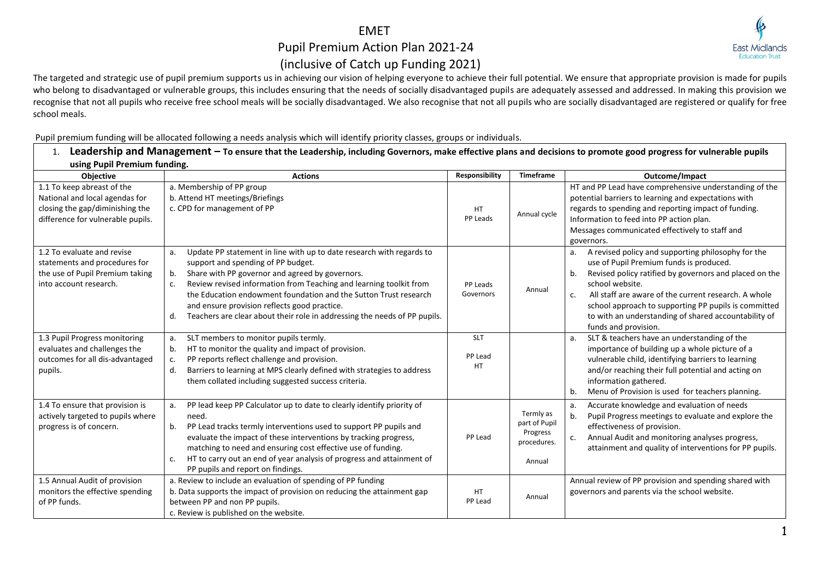## EMET

## Pupil Premium Action Plan 2021-24 (inclusive of Catch up Funding 2021)



The targeted and strategic use of pupil premium supports us in achieving our vision of helping everyone to achieve their full potential. We ensure that appropriate provision is made for pupils who belong to disadvantaged or vulnerable groups, this includes ensuring that the needs of socially disadvantaged pupils are adequately assessed and addressed. In making this provision we recognise that not all pupils who receive free school meals will be socially disadvantaged. We also recognise that not all pupils who are socially disadvantaged are registered or qualify for free school meals.

Pupil premium funding will be allocated following a needs analysis which will identify priority classes, groups or individuals. 1. **Leadership and Management – To ensure that the Leadership, including Governors, make effective plans and decisions to promote good progress for vulnerable pupils** 

| LCAUCI SING WATERS ON DISTURBATION OF BUILDING SUPPORT OF PRODUCED SIDENING SUPPORT OF PRODUCED IN MARKER AND A SUPPORT SIDE AND RELECTIVE PROTOCOLOGY OF DISTURBATION CONTINUES SOUT VUITER AND PUPILS<br>using Pupil Premium funding. |                                                                                                                                                                                                                                                                                                                                                                                                                                                              |                                    |                                                                 |                                                                                                                                                                                                                                                                                                                                                                                              |  |  |
|-----------------------------------------------------------------------------------------------------------------------------------------------------------------------------------------------------------------------------------------|--------------------------------------------------------------------------------------------------------------------------------------------------------------------------------------------------------------------------------------------------------------------------------------------------------------------------------------------------------------------------------------------------------------------------------------------------------------|------------------------------------|-----------------------------------------------------------------|----------------------------------------------------------------------------------------------------------------------------------------------------------------------------------------------------------------------------------------------------------------------------------------------------------------------------------------------------------------------------------------------|--|--|
| <b>Objective</b>                                                                                                                                                                                                                        | <b>Actions</b>                                                                                                                                                                                                                                                                                                                                                                                                                                               | Responsibility                     | <b>Timeframe</b>                                                | <b>Outcome/Impact</b>                                                                                                                                                                                                                                                                                                                                                                        |  |  |
| 1.1 To keep abreast of the<br>National and local agendas for<br>closing the gap/diminishing the<br>difference for vulnerable pupils.                                                                                                    | a. Membership of PP group<br>b. Attend HT meetings/Briefings<br>c. CPD for management of PP                                                                                                                                                                                                                                                                                                                                                                  | HT<br>PP Leads                     | Annual cycle                                                    | HT and PP Lead have comprehensive understanding of the<br>potential barriers to learning and expectations with<br>regards to spending and reporting impact of funding.<br>Information to feed into PP action plan.<br>Messages communicated effectively to staff and<br>governors.                                                                                                           |  |  |
| 1.2 To evaluate and revise<br>statements and procedures for<br>the use of Pupil Premium taking<br>into account research.                                                                                                                | Update PP statement in line with up to date research with regards to<br>a.<br>support and spending of PP budget.<br>Share with PP governor and agreed by governors.<br>b.<br>Review revised information from Teaching and learning toolkit from<br>c.<br>the Education endowment foundation and the Sutton Trust research<br>and ensure provision reflects good practice.<br>Teachers are clear about their role in addressing the needs of PP pupils.<br>d. | PP Leads<br>Governors              | Annual                                                          | A revised policy and supporting philosophy for the<br>a.<br>use of Pupil Premium funds is produced.<br>Revised policy ratified by governors and placed on the<br>b.<br>school website.<br>All staff are aware of the current research. A whole<br>c.<br>school approach to supporting PP pupils is committed<br>to with an understanding of shared accountability of<br>funds and provision. |  |  |
| 1.3 Pupil Progress monitoring<br>evaluates and challenges the<br>outcomes for all dis-advantaged<br>pupils.                                                                                                                             | SLT members to monitor pupils termly.<br>a.<br>HT to monitor the quality and impact of provision.<br>b.<br>PP reports reflect challenge and provision.<br>c.<br>Barriers to learning at MPS clearly defined with strategies to address<br>d.<br>them collated including suggested success criteria.                                                                                                                                                          | <b>SLT</b><br>PP Lead<br><b>HT</b> |                                                                 | SLT & teachers have an understanding of the<br>a.<br>importance of building up a whole picture of a<br>vulnerable child, identifying barriers to learning<br>and/or reaching their full potential and acting on<br>information gathered.<br>Menu of Provision is used for teachers planning.<br>b.                                                                                           |  |  |
| 1.4 To ensure that provision is<br>actively targeted to pupils where<br>progress is of concern.                                                                                                                                         | PP lead keep PP Calculator up to date to clearly identify priority of<br>a.<br>need.<br>PP Lead tracks termly interventions used to support PP pupils and<br>b.<br>evaluate the impact of these interventions by tracking progress,<br>matching to need and ensuring cost effective use of funding.<br>HT to carry out an end of year analysis of progress and attainment of<br>c.<br>PP pupils and report on findings.                                      | PP Lead                            | Termly as<br>part of Pupil<br>Progress<br>procedures.<br>Annual | Accurate knowledge and evaluation of needs<br>а.<br>b.<br>Pupil Progress meetings to evaluate and explore the<br>effectiveness of provision.<br>Annual Audit and monitoring analyses progress,<br>c.<br>attainment and quality of interventions for PP pupils.                                                                                                                               |  |  |
| 1.5 Annual Audit of provision<br>monitors the effective spending<br>of PP funds.                                                                                                                                                        | a. Review to include an evaluation of spending of PP funding<br>b. Data supports the impact of provision on reducing the attainment gap<br>between PP and non PP pupils.<br>c. Review is published on the website.                                                                                                                                                                                                                                           | <b>HT</b><br>PP Lead               | Annual                                                          | Annual review of PP provision and spending shared with<br>governors and parents via the school website.                                                                                                                                                                                                                                                                                      |  |  |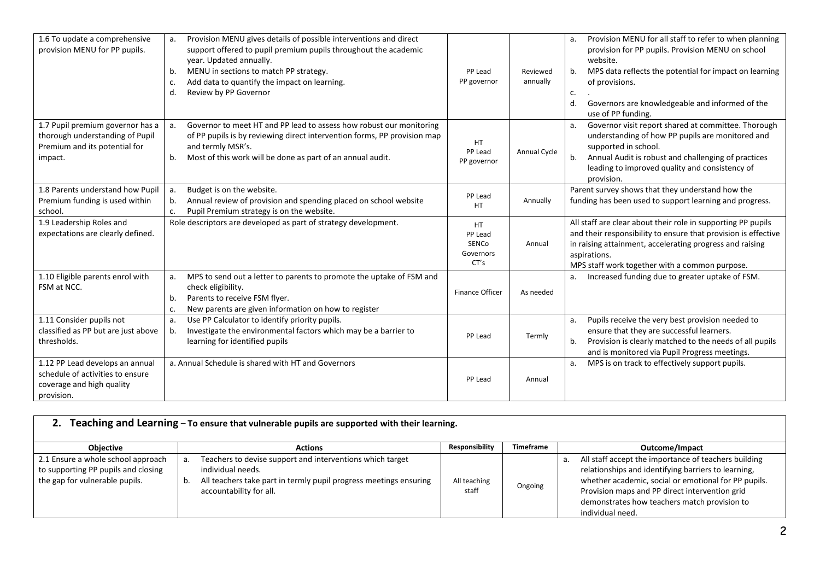| 1.6 To update a comprehensive<br>provision MENU for PP pupils.                                                  | Provision MENU gives details of possible interventions and direct<br>support offered to pupil premium pupils throughout the academic<br>year. Updated annually.<br>MENU in sections to match PP strategy.<br>b.<br>Add data to quantify the impact on learning.<br>c.<br>Review by PP Governor<br>d. | PP Lead<br>PP governor                             | Reviewed<br>annually | Provision MENU for all staff to refer to when planning<br>provision for PP pupils. Provision MENU on school<br>website.<br>MPS data reflects the potential for impact on learning<br>b.<br>of provisions.<br>c.<br>Governors are knowledgeable and informed of the<br>d.<br>use of PP funding. |
|-----------------------------------------------------------------------------------------------------------------|------------------------------------------------------------------------------------------------------------------------------------------------------------------------------------------------------------------------------------------------------------------------------------------------------|----------------------------------------------------|----------------------|------------------------------------------------------------------------------------------------------------------------------------------------------------------------------------------------------------------------------------------------------------------------------------------------|
| 1.7 Pupil premium governor has a<br>thorough understanding of Pupil<br>Premium and its potential for<br>impact. | Governor to meet HT and PP lead to assess how robust our monitoring<br>а.<br>of PP pupils is by reviewing direct intervention forms, PP provision map<br>and termly MSR's.<br>Most of this work will be done as part of an annual audit.<br>b.                                                       | <b>HT</b><br>PP Lead<br>PP governor                | Annual Cycle         | Governor visit report shared at committee. Thorough<br>understanding of how PP pupils are monitored and<br>supported in school.<br>Annual Audit is robust and challenging of practices<br>b.<br>leading to improved quality and consistency of<br>provision.                                   |
| 1.8 Parents understand how Pupil<br>Premium funding is used within<br>school.                                   | Budget is on the website.<br>a.<br>Annual review of provision and spending placed on school website<br>b.<br>Pupil Premium strategy is on the website.<br>c.                                                                                                                                         | PP Lead<br><b>HT</b>                               | Annually             | Parent survey shows that they understand how the<br>funding has been used to support learning and progress.                                                                                                                                                                                    |
| 1.9 Leadership Roles and<br>expectations are clearly defined.                                                   | Role descriptors are developed as part of strategy development.                                                                                                                                                                                                                                      | <b>HT</b><br>PP Lead<br>SENCo<br>Governors<br>CT's | Annual               | All staff are clear about their role in supporting PP pupils<br>and their responsibility to ensure that provision is effective<br>in raising attainment, accelerating progress and raising<br>aspirations.<br>MPS staff work together with a common purpose.                                   |
| 1.10 Eligible parents enrol with<br>FSM at NCC.                                                                 | MPS to send out a letter to parents to promote the uptake of FSM and<br>a.<br>check eligibility.<br>Parents to receive FSM flyer.<br>b.<br>New parents are given information on how to register<br>c.                                                                                                | Finance Officer                                    | As needed            | Increased funding due to greater uptake of FSM.                                                                                                                                                                                                                                                |
| 1.11 Consider pupils not<br>classified as PP but are just above<br>thresholds.                                  | Use PP Calculator to identify priority pupils.<br>a.<br>Investigate the environmental factors which may be a barrier to<br>b.<br>learning for identified pupils                                                                                                                                      | PP Lead                                            | Termly               | Pupils receive the very best provision needed to<br>a.<br>ensure that they are successful learners.<br>Provision is clearly matched to the needs of all pupils<br>b.<br>and is monitored via Pupil Progress meetings.                                                                          |
| 1.12 PP Lead develops an annual<br>schedule of activities to ensure<br>coverage and high quality<br>provision.  | a. Annual Schedule is shared with HT and Governors                                                                                                                                                                                                                                                   | PP Lead                                            | Annual               | MPS is on track to effectively support pupils.                                                                                                                                                                                                                                                 |

| Teaching and Learning - To ensure that vulnerable pupils are supported with their learning.                 |    |                                                                                                                                                                                |                       |                  |                                                                                                                                                                                                                                                                                           |
|-------------------------------------------------------------------------------------------------------------|----|--------------------------------------------------------------------------------------------------------------------------------------------------------------------------------|-----------------------|------------------|-------------------------------------------------------------------------------------------------------------------------------------------------------------------------------------------------------------------------------------------------------------------------------------------|
| <b>Objective</b>                                                                                            |    | <b>Actions</b>                                                                                                                                                                 | <b>Responsibility</b> | <b>Timeframe</b> | Outcome/Impact                                                                                                                                                                                                                                                                            |
| 2.1 Ensure a whole school approach<br>to supporting PP pupils and closing<br>the gap for vulnerable pupils. | а. | Teachers to devise support and interventions which target<br>individual needs.<br>All teachers take part in termly pupil progress meetings ensuring<br>accountability for all. | All teaching<br>staff | Ongoing          | All staff accept the importance of teachers building<br>relationships and identifying barriers to learning,<br>whether academic, social or emotional for PP pupils.<br>Provision maps and PP direct intervention grid<br>demonstrates how teachers match provision to<br>individual need. |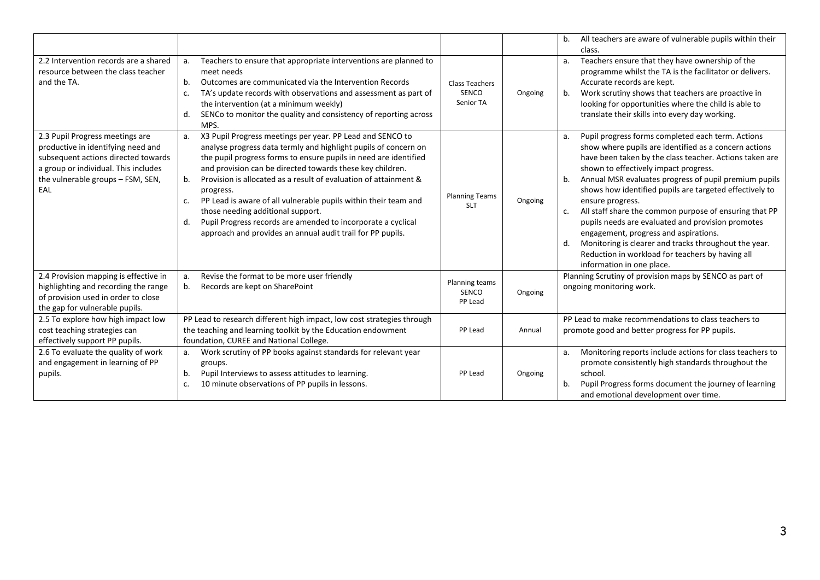|                                                                                                                                                                                                  |                                                                                                                                                                                                                                                                                                                                                                                                                                                                                                                                                                                                              |                                             |         | All teachers are aware of vulnerable pupils within their<br>b.<br>class.                                                                                                                                                                                                                                                                                                                                                                                                                                                                                                                                                                                                         |
|--------------------------------------------------------------------------------------------------------------------------------------------------------------------------------------------------|--------------------------------------------------------------------------------------------------------------------------------------------------------------------------------------------------------------------------------------------------------------------------------------------------------------------------------------------------------------------------------------------------------------------------------------------------------------------------------------------------------------------------------------------------------------------------------------------------------------|---------------------------------------------|---------|----------------------------------------------------------------------------------------------------------------------------------------------------------------------------------------------------------------------------------------------------------------------------------------------------------------------------------------------------------------------------------------------------------------------------------------------------------------------------------------------------------------------------------------------------------------------------------------------------------------------------------------------------------------------------------|
| 2.2 Intervention records are a shared<br>resource between the class teacher<br>and the TA.                                                                                                       | Teachers to ensure that appropriate interventions are planned to<br>a.<br>meet needs<br>Outcomes are communicated via the Intervention Records<br>b.<br>TA's update records with observations and assessment as part of<br>c.<br>the intervention (at a minimum weekly)<br>SENCo to monitor the quality and consistency of reporting across<br>d.<br>MPS.                                                                                                                                                                                                                                                    | <b>Class Teachers</b><br>SENCO<br>Senior TA | Ongoing | Teachers ensure that they have ownership of the<br>a.<br>programme whilst the TA is the facilitator or delivers.<br>Accurate records are kept.<br>Work scrutiny shows that teachers are proactive in<br>b.<br>looking for opportunities where the child is able to<br>translate their skills into every day working.                                                                                                                                                                                                                                                                                                                                                             |
| 2.3 Pupil Progress meetings are<br>productive in identifying need and<br>subsequent actions directed towards<br>a group or individual. This includes<br>the vulnerable groups - FSM, SEN,<br>EAL | X3 Pupil Progress meetings per year. PP Lead and SENCO to<br>a.<br>analyse progress data termly and highlight pupils of concern on<br>the pupil progress forms to ensure pupils in need are identified<br>and provision can be directed towards these key children.<br>Provision is allocated as a result of evaluation of attainment &<br>b.<br>progress.<br>PP Lead is aware of all vulnerable pupils within their team and<br>c.<br>those needing additional support.<br>Pupil Progress records are amended to incorporate a cyclical<br>d.<br>approach and provides an annual audit trail for PP pupils. | <b>Planning Teams</b><br><b>SLT</b>         | Ongoing | Pupil progress forms completed each term. Actions<br>a.<br>show where pupils are identified as a concern actions<br>have been taken by the class teacher. Actions taken are<br>shown to effectively impact progress.<br>Annual MSR evaluates progress of pupil premium pupils<br>b.<br>shows how identified pupils are targeted effectively to<br>ensure progress.<br>All staff share the common purpose of ensuring that PP<br>c.<br>pupils needs are evaluated and provision promotes<br>engagement, progress and aspirations.<br>Monitoring is clearer and tracks throughout the year.<br>d.<br>Reduction in workload for teachers by having all<br>information in one place. |
| 2.4 Provision mapping is effective in<br>highlighting and recording the range<br>of provision used in order to close<br>the gap for vulnerable pupils.                                           | Revise the format to be more user friendly<br>a.<br>Records are kept on SharePoint<br>b.                                                                                                                                                                                                                                                                                                                                                                                                                                                                                                                     | Planning teams<br>SENCO<br>PP Lead          | Ongoing | Planning Scrutiny of provision maps by SENCO as part of<br>ongoing monitoring work.                                                                                                                                                                                                                                                                                                                                                                                                                                                                                                                                                                                              |
| 2.5 To explore how high impact low<br>cost teaching strategies can<br>effectively support PP pupils.                                                                                             | PP Lead to research different high impact, low cost strategies through<br>the teaching and learning toolkit by the Education endowment<br>foundation, CUREE and National College.                                                                                                                                                                                                                                                                                                                                                                                                                            | PP Lead                                     | Annual  | PP Lead to make recommendations to class teachers to<br>promote good and better progress for PP pupils.                                                                                                                                                                                                                                                                                                                                                                                                                                                                                                                                                                          |
| 2.6 To evaluate the quality of work<br>and engagement in learning of PP<br>pupils.                                                                                                               | Work scrutiny of PP books against standards for relevant year<br>а.<br>groups.<br>Pupil Interviews to assess attitudes to learning.<br>b.<br>10 minute observations of PP pupils in lessons.<br>c.                                                                                                                                                                                                                                                                                                                                                                                                           | PP Lead                                     | Ongoing | Monitoring reports include actions for class teachers to<br>а.<br>promote consistently high standards throughout the<br>school.<br>Pupil Progress forms document the journey of learning<br>b.<br>and emotional development over time.                                                                                                                                                                                                                                                                                                                                                                                                                                           |